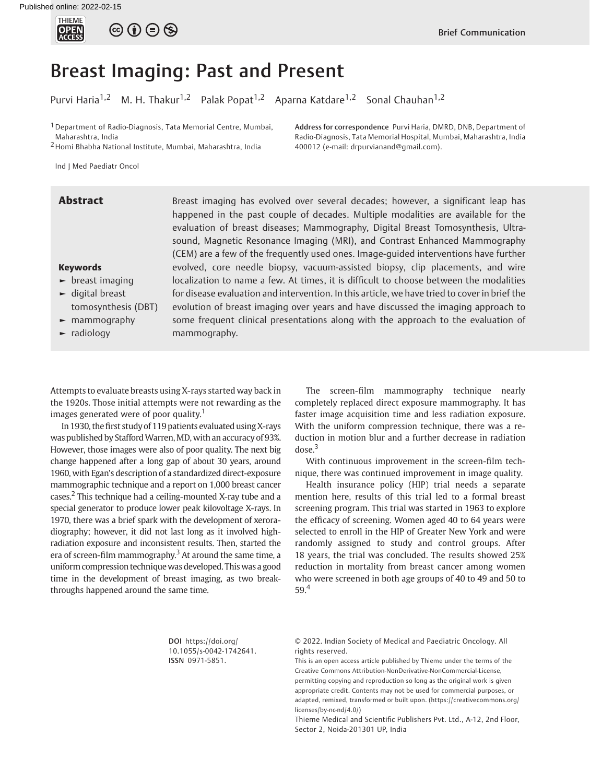

# Breast Imaging: Past and Present

Purvi Haria<sup>1,2</sup> M. H. Thakur<sup>1,2</sup> Palak Popat<sup>1,2</sup> Aparna Katdare<sup>1,2</sup> Sonal Chauhan<sup>1,2</sup>

<sup>1</sup> Department of Radio-Diagnosis, Tata Memorial Centre, Mumbai, Maharashtra, India

2Homi Bhabha National Institute, Mumbai, Maharashtra, India

Address for correspondence Purvi Haria, DMRD, DNB, Department of Radio-Diagnosis, Tata Memorial Hospital, Mumbai, Maharashtra, India 400012 (e-mail: [drpurvianand@gmail.com](mailto:drpurvianand@gmail.com)).

Ind J Med Paediatr Oncol

#### Keywords

- $\blacktriangleright$  breast imaging
- ► digital breast tomosynthesis (DBT)
- ► mammography
- radiology

**Abstract** Breast imaging has evolved over several decades; however, a significant leap has happened in the past couple of decades. Multiple modalities are available for the evaluation of breast diseases; Mammography, Digital Breast Tomosynthesis, Ultrasound, Magnetic Resonance Imaging (MRI), and Contrast Enhanced Mammography (CEM) are a few of the frequently used ones. Image-guided interventions have further evolved, core needle biopsy, vacuum-assisted biopsy, clip placements, and wire localization to name a few. At times, it is difficult to choose between the modalities for disease evaluation and intervention. In this article, we have tried to cover in brief the evolution of breast imaging over years and have discussed the imaging approach to some frequent clinical presentations along with the approach to the evaluation of mammography.

Attempts to evaluate breasts using X-rays started way back in the 1920s. Those initial attempts were not rewarding as the images generated were of poor quality.<sup>1</sup>

In 1930, the first study of 119 patients evaluated using X-rays was published by Stafford Warren, MD, with an accuracy of 93%. However, those images were also of poor quality. The next big change happened after a long gap of about 30 years, around 1960, with Egan's description of a standardized direct-exposure mammographic technique and a report on 1,000 breast cancer cases.<sup>2</sup> This technique had a ceiling-mounted X-ray tube and a special generator to produce lower peak kilovoltage X-rays. In 1970, there was a brief spark with the development of xeroradiography; however, it did not last long as it involved highradiation exposure and inconsistent results. Then, started the era of screen-film mammography. $3$  At around the same time, a uniform compression techniquewas developed. This was a good time in the development of breast imaging, as two breakthroughs happened around the same time.

The screen-film mammography technique nearly completely replaced direct exposure mammography. It has faster image acquisition time and less radiation exposure. With the uniform compression technique, there was a reduction in motion blur and a further decrease in radiation  $dose.<sup>3</sup>$ 

With continuous improvement in the screen-film technique, there was continued improvement in image quality.

Health insurance policy (HIP) trial needs a separate mention here, results of this trial led to a formal breast screening program. This trial was started in 1963 to explore the efficacy of screening. Women aged 40 to 64 years were selected to enroll in the HIP of Greater New York and were randomly assigned to study and control groups. After 18 years, the trial was concluded. The results showed 25% reduction in mortality from breast cancer among women who were screened in both age groups of 40 to 49 and 50 to 59.<sup>4</sup>

DOI [https://doi.org/](https://doi.org/10.1055/s-0042-1742641) [10.1055/s-0042-1742641](https://doi.org/10.1055/s-0042-1742641). ISSN 0971-5851.

© 2022. Indian Society of Medical and Paediatric Oncology. All rights reserved.

This is an open access article published by Thieme under the terms of the Creative Commons Attribution-NonDerivative-NonCommercial-License, permitting copying and reproduction so long as the original work is given appropriate credit. Contents may not be used for commercial purposes, or adapted, remixed, transformed or built upon. (https://creativecommons.org/ licenses/by-nc-nd/4.0/)

Thieme Medical and Scientific Publishers Pvt. Ltd., A-12, 2nd Floor, Sector 2, Noida-201301 UP, India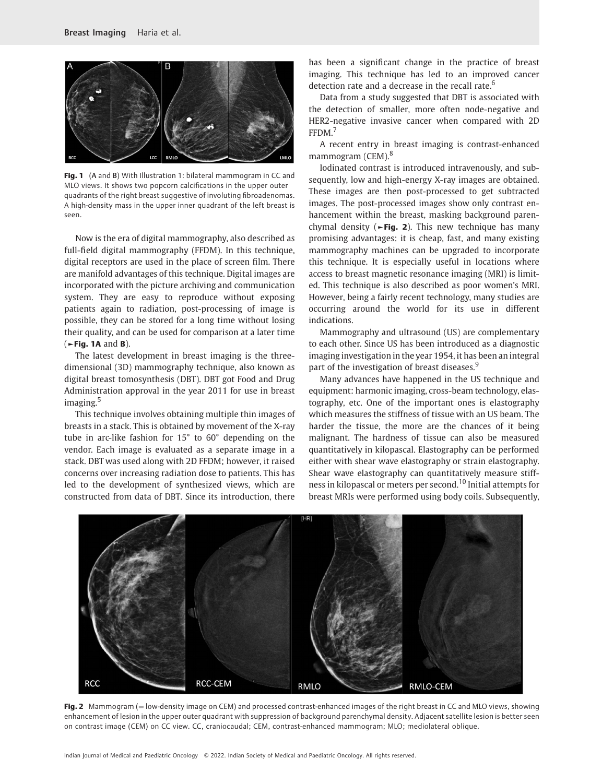

Fig. 1 (A and B) With Illustration 1: bilateral mammogram in CC and MLO views. It shows two popcorn calcifications in the upper outer quadrants of the right breast suggestive of involuting fibroadenomas. A high-density mass in the upper inner quadrant of the left breast is seen.

Now is the era of digital mammography, also described as full-field digital mammography (FFDM). In this technique, digital receptors are used in the place of screen film. There are manifold advantages of this technique. Digital images are incorporated with the picture archiving and communication system. They are easy to reproduce without exposing patients again to radiation, post-processing of image is possible, they can be stored for a long time without losing their quality, and can be used for comparison at a later time  $(-$ Fig. 1A and B).

The latest development in breast imaging is the threedimensional (3D) mammography technique, also known as digital breast tomosynthesis (DBT). DBT got Food and Drug Administration approval in the year 2011 for use in breast imaging.<sup>5</sup>

This technique involves obtaining multiple thin images of breasts in a stack. This is obtained by movement of the X-ray tube in arc-like fashion for 15° to 60° depending on the vendor. Each image is evaluated as a separate image in a stack. DBT was used along with 2D FFDM; however, it raised concerns over increasing radiation dose to patients. This has led to the development of synthesized views, which are constructed from data of DBT. Since its introduction, there

has been a significant change in the practice of breast imaging. This technique has led to an improved cancer detection rate and a decrease in the recall rate.<sup>6</sup>

Data from a study suggested that DBT is associated with the detection of smaller, more often node-negative and HER2-negative invasive cancer when compared with 2D FFDM.<sup>7</sup>

A recent entry in breast imaging is contrast-enhanced mammogram (CEM).<sup>8</sup>

Iodinated contrast is introduced intravenously, and subsequently, low and high-energy X-ray images are obtained. These images are then post-processed to get subtracted images. The post-processed images show only contrast enhancement within the breast, masking background parenchymal density ( $\blacktriangleright$ Fig. 2). This new technique has many promising advantages: it is cheap, fast, and many existing mammography machines can be upgraded to incorporate this technique. It is especially useful in locations where access to breast magnetic resonance imaging (MRI) is limited. This technique is also described as poor women's MRI. However, being a fairly recent technology, many studies are occurring around the world for its use in different indications.

Mammography and ultrasound (US) are complementary to each other. Since US has been introduced as a diagnostic imaging investigation in the year 1954, it has been an integral part of the investigation of breast diseases.<sup>9</sup>

Many advances have happened in the US technique and equipment: harmonic imaging, cross-beam technology, elastography, etc. One of the important ones is elastography which measures the stiffness of tissue with an US beam. The harder the tissue, the more are the chances of it being malignant. The hardness of tissue can also be measured quantitatively in kilopascal. Elastography can be performed either with shear wave elastography or strain elastography. Shear wave elastography can quantitatively measure stiffness in kilopascal or meters per second.<sup>10</sup> Initial attempts for breast MRIs were performed using body coils. Subsequently,



Fig. 2 Mammogram ( $=$  low-density image on CEM) and processed contrast-enhanced images of the right breast in CC and MLO views, showing enhancement of lesion in the upper outer quadrant with suppression of background parenchymal density. Adjacent satellite lesion is better seen on contrast image (CEM) on CC view. CC, craniocaudal; CEM, contrast-enhanced mammogram; MLO; mediolateral oblique.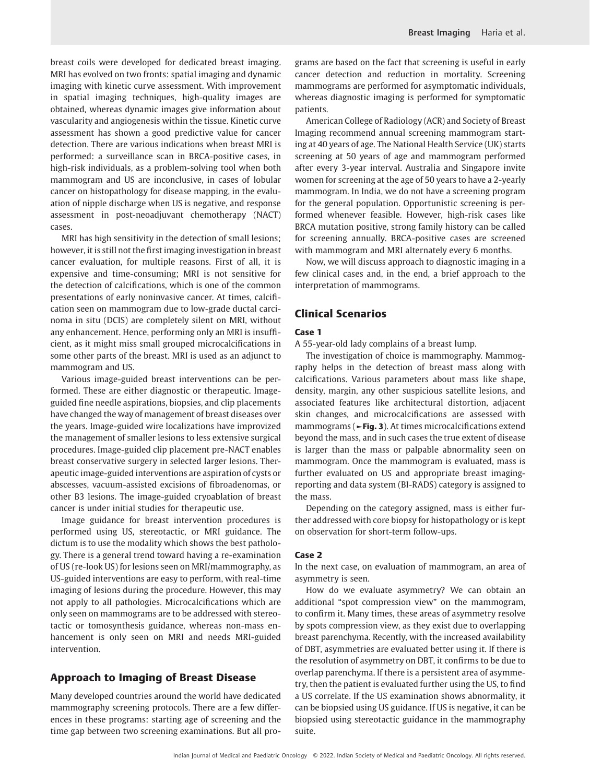breast coils were developed for dedicated breast imaging. MRI has evolved on two fronts: spatial imaging and dynamic imaging with kinetic curve assessment. With improvement in spatial imaging techniques, high-quality images are obtained, whereas dynamic images give information about vascularity and angiogenesis within the tissue. Kinetic curve assessment has shown a good predictive value for cancer detection. There are various indications when breast MRI is performed: a surveillance scan in BRCA-positive cases, in high-risk individuals, as a problem-solving tool when both mammogram and US are inconclusive, in cases of lobular cancer on histopathology for disease mapping, in the evaluation of nipple discharge when US is negative, and response assessment in post-neoadjuvant chemotherapy (NACT) cases.

MRI has high sensitivity in the detection of small lesions; however, it is still not the first imaging investigation in breast cancer evaluation, for multiple reasons. First of all, it is expensive and time-consuming; MRI is not sensitive for the detection of calcifications, which is one of the common presentations of early noninvasive cancer. At times, calcification seen on mammogram due to low-grade ductal carcinoma in situ (DCIS) are completely silent on MRI, without any enhancement. Hence, performing only an MRI is insufficient, as it might miss small grouped microcalcifications in some other parts of the breast. MRI is used as an adjunct to mammogram and US.

Various image-guided breast interventions can be performed. These are either diagnostic or therapeutic. Imageguided fine needle aspirations, biopsies, and clip placements have changed the way of management of breast diseases over the years. Image-guided wire localizations have improvized the management of smaller lesions to less extensive surgical procedures. Image-guided clip placement pre-NACT enables breast conservative surgery in selected larger lesions. Therapeutic image-guided interventions are aspiration of cysts or abscesses, vacuum-assisted excisions of fibroadenomas, or other B3 lesions. The image-guided cryoablation of breast cancer is under initial studies for therapeutic use.

Image guidance for breast intervention procedures is performed using US, stereotactic, or MRI guidance. The dictum is to use the modality which shows the best pathology. There is a general trend toward having a re-examination of US (re-look US) for lesions seen on MRI/mammography, as US-guided interventions are easy to perform, with real-time imaging of lesions during the procedure. However, this may not apply to all pathologies. Microcalcifications which are only seen on mammograms are to be addressed with stereotactic or tomosynthesis guidance, whereas non-mass enhancement is only seen on MRI and needs MRI-guided intervention.

### Approach to Imaging of Breast Disease

Many developed countries around the world have dedicated mammography screening protocols. There are a few differences in these programs: starting age of screening and the time gap between two screening examinations. But all programs are based on the fact that screening is useful in early cancer detection and reduction in mortality. Screening mammograms are performed for asymptomatic individuals, whereas diagnostic imaging is performed for symptomatic patients.

American College of Radiology (ACR) and Society of Breast Imaging recommend annual screening mammogram starting at 40 years of age. The National Health Service (UK) starts screening at 50 years of age and mammogram performed after every 3-year interval. Australia and Singapore invite women for screening at the age of 50 years to have a 2-yearly mammogram. In India, we do not have a screening program for the general population. Opportunistic screening is performed whenever feasible. However, high-risk cases like BRCA mutation positive, strong family history can be called for screening annually. BRCA-positive cases are screened with mammogram and MRI alternately every 6 months.

Now, we will discuss approach to diagnostic imaging in a few clinical cases and, in the end, a brief approach to the interpretation of mammograms.

# Clinical Scenarios

#### Case 1

A 55-year-old lady complains of a breast lump.

The investigation of choice is mammography. Mammography helps in the detection of breast mass along with calcifications. Various parameters about mass like shape, density, margin, any other suspicious satellite lesions, and associated features like architectural distortion, adjacent skin changes, and microcalcifications are assessed with mammograms (►Fig. 3). At times microcalcifications extend beyond the mass, and in such cases the true extent of disease is larger than the mass or palpable abnormality seen on mammogram. Once the mammogram is evaluated, mass is further evaluated on US and appropriate breast imagingreporting and data system (BI-RADS) category is assigned to the mass.

Depending on the category assigned, mass is either further addressed with core biopsy for histopathology or is kept on observation for short-term follow-ups.

#### Case 2

In the next case, on evaluation of mammogram, an area of asymmetry is seen.

How do we evaluate asymmetry? We can obtain an additional "spot compression view" on the mammogram, to confirm it. Many times, these areas of asymmetry resolve by spots compression view, as they exist due to overlapping breast parenchyma. Recently, with the increased availability of DBT, asymmetries are evaluated better using it. If there is the resolution of asymmetry on DBT, it confirms to be due to overlap parenchyma. If there is a persistent area of asymmetry, then the patient is evaluated further using the US, to find a US correlate. If the US examination shows abnormality, it can be biopsied using US guidance. If US is negative, it can be biopsied using stereotactic guidance in the mammography suite.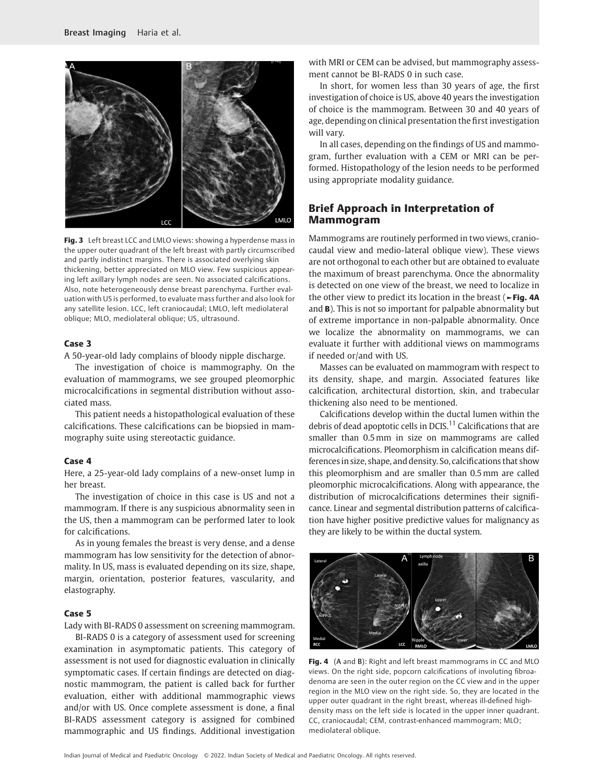

Fig. 3 Left breast LCC and LMLO views: showing a hyperdense mass in the upper outer quadrant of the left breast with partly circumscribed and partly indistinct margins. There is associated overlying skin thickening, better appreciated on MLO view. Few suspicious appearing left axillary lymph nodes are seen. No associated calcifications. Also, note heterogeneously dense breast parenchyma. Further evaluation with US is performed, to evaluate mass further and also look for any satellite lesion. LCC, left craniocaudal; LMLO, left mediolateral oblique; MLO, mediolateral oblique; US, ultrasound.

#### Case 3

A 50-year-old lady complains of bloody nipple discharge.

The investigation of choice is mammography. On the evaluation of mammograms, we see grouped pleomorphic microcalcifications in segmental distribution without associated mass.

This patient needs a histopathological evaluation of these calcifications. These calcifications can be biopsied in mammography suite using stereotactic guidance.

#### Case 4

Here, a 25-year-old lady complains of a new-onset lump in her breast.

The investigation of choice in this case is US and not a mammogram. If there is any suspicious abnormality seen in the US, then a mammogram can be performed later to look for calcifications.

As in young females the breast is very dense, and a dense mammogram has low sensitivity for the detection of abnormality. In US, mass is evaluated depending on its size, shape, margin, orientation, posterior features, vascularity, and elastography.

#### Case 5

Lady with BI-RADS 0 assessment on screening mammogram.

BI-RADS 0 is a category of assessment used for screening examination in asymptomatic patients. This category of assessment is not used for diagnostic evaluation in clinically symptomatic cases. If certain findings are detected on diagnostic mammogram, the patient is called back for further evaluation, either with additional mammographic views and/or with US. Once complete assessment is done, a final BI-RADS assessment category is assigned for combined mammographic and US findings. Additional investigation

with MRI or CEM can be advised, but mammography assessment cannot be BI-RADS 0 in such case.

In short, for women less than 30 years of age, the first investigation of choice is US, above 40 years the investigation of choice is the mammogram. Between 30 and 40 years of age, depending on clinical presentation the first investigation will vary.

In all cases, depending on the findings of US and mammogram, further evaluation with a CEM or MRI can be performed. Histopathology of the lesion needs to be performed using appropriate modality guidance.

# Brief Approach in Interpretation of Mammogram

Mammograms are routinely performed in two views, craniocaudal view and medio-lateral oblique view). These views are not orthogonal to each other but are obtained to evaluate the maximum of breast parenchyma. Once the abnormality is detected on one view of the breast, we need to localize in the other view to predict its location in the breast (►Fig. 4A and B). This is not so important for palpable abnormality but of extreme importance in non-palpable abnormality. Once we localize the abnormality on mammograms, we can evaluate it further with additional views on mammograms if needed or/and with US.

Masses can be evaluated on mammogram with respect to its density, shape, and margin. Associated features like calcification, architectural distortion, skin, and trabecular thickening also need to be mentioned.

Calcifications develop within the ductal lumen within the debris of dead apoptotic cells in DCIS.<sup>11</sup> Calcifications that are smaller than 0.5mm in size on mammograms are called microcalcifications. Pleomorphism in calcification means differences in size, shape, and density. So, calcifications that show this pleomorphism and are smaller than 0.5 mm are called pleomorphic microcalcifications. Along with appearance, the distribution of microcalcifications determines their significance. Linear and segmental distribution patterns of calcification have higher positive predictive values for malignancy as they are likely to be within the ductal system.



Fig. 4 (A and B): Right and left breast mammograms in CC and MLO views. On the right side, popcorn calcifications of involuting fibroadenoma are seen in the outer region on the CC view and in the upper region in the MLO view on the right side. So, they are located in the upper outer quadrant in the right breast, whereas ill-defined highdensity mass on the left side is located in the upper inner quadrant. CC, craniocaudal; CEM, contrast-enhanced mammogram; MLO; mediolateral oblique.